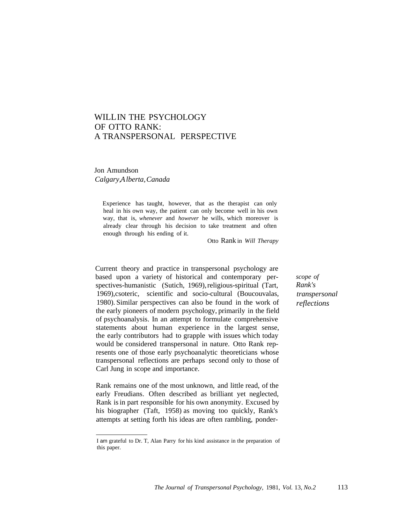## WILLIN THE PSYCHOLOGY OF OTTO RANK: A TRANSPERSONAL PERSPECTIVE

Jon Amundson *Calgary,Alberta,Canada*

> Experience has taught, however, that as the therapist can only heal in his own way, the patient can only become well in his own way, that is, *whenever* and *however* he wills, which moreover is already clear through his decision to take treatment and often enough through his ending of it.

> > Otto Rank in *Will Therapy*

Current theory and practice in transpersonal psychology are based upon a variety of historical and contemporary perspectives-humanistic (Sutich, 1969), religious-spiritual (Tart, 1969),csoteric, scientific and socio-cultural (Boucouvalas, 1980). Similar perspectives can also be found in the work of the early pioneers of modern psychology, primarily in the field of psychoanalysis. In an attempt to formulate comprehensive statements about human experience in the largest sense, the early contributors had to grapple with issues which today would be considered transpersonal in nature. Otto Rank represents one of those early psychoanalytic theoreticians whose transpersonal reflections are perhaps second only to those of Carl Jung in scope and importance.

Rank remains one of the most unknown, and little read, of the early Freudians. Often described as brilliant yet neglected, Rank is in part responsible for his own anonymity. Excused by his biographer (Taft, 1958) as moving too quickly, Rank's attempts at setting forth his ideas are often rambling, ponder*scope of Rank's transpersonal reflections*

I am grateful to Dr. T, Alan Parry for his kind assistance in the preparation of this paper.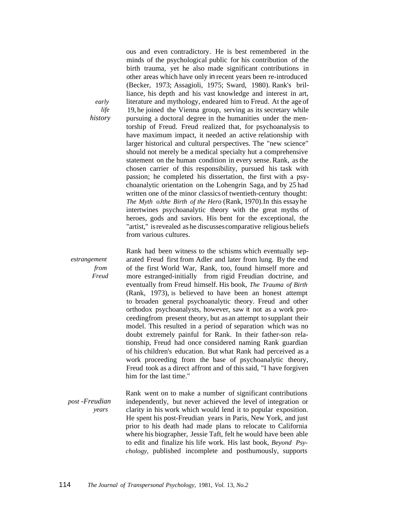*early life history* ous and even contradictory. He is best remembered in the minds of the psychological public for his contribution of the birth trauma, yet he also made significant contributions in other areas which have only in recent years been re-introduced (Becker, 1973; Assagioli, 1975; Sward, 1980). Rank's brilliance, his depth and his vast knowledge and interest in art, literature and mythology, endeared him to Freud. At the age of 19, he joined the Vienna group, serving as its secretary while pursuing a doctoral degree in the humanities under the mentorship of Freud. Freud realized that, for psychoanalysis to have maximum impact, it needed an active relationship with larger historical and cultural perspectives. The "new science" should not merely be a medical specialty hut a comprehensive statement on the human condition in every sense. Rank, as the chosen carrier of this responsibility, pursued his task with passion; he completed his dissertation, the first with a psychoanalytic orientation on the Lohengrin Saga, and by 25 had written one of the minor classicsof twentieth-century thought: *The Myth oJthe Birth of the Hero* (Rank, 1970).In this essayhe intertwines psychoanalytic theory with the great myths of heroes, gods and saviors. His bent for the exceptional, the "artist," isrevealed as he discussescomparative religious beliefs from various cultures.

*estrangement from Freud* Rank had been witness to the schisms which eventually separated Freud first from Adler and later from lung. By the end of the first World War, Rank, too, found himself more and more estranged-initially from rigid Freudian doctrine, and eventually from Freud himself. His book, *The Trauma of Birth* (Rank, 1973), is believed to have been an honest attempt to broaden general psychoanalytic theory. Freud and other orthodox psychoanalysts, however, saw it not as a work proceedingfrom present theory, but as an attempt to supplant their model. This resulted in a period of separation which was no doubt extremely painful for Rank. In their father-son relationship, Freud had once considered naming Rank guardian of his children's education. But what Rank had perceived as a work proceeding from the base of psychoanalytic theory, Freud took as a direct affront and of this said, "I have forgiven him for the last time."

*post -Freudian years* Rank went on to make a number of significant contributions independently, but never achieved the level of integration or clarity in his work which would lend it to popular exposition. He spent his post-Freudian years in Paris, New York, and just prior to his death had made plans to relocate to California where his biographer, Jessie Taft, felt he would have been able to edit and finalize his life work. His last book, *Beyond Psychology,* published incomplete and posthumously, supports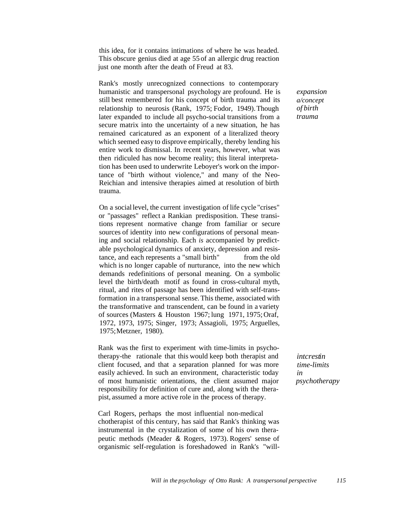this idea, for it contains intimations of where he was headed. This obscure genius died at age 55 of an allergic drug reaction just one month after the death of Freud at 83.

Rank's mostly unrecognized connections to contemporary humanistic and transpersonal psychology are profound. He is still best remembered for his concept of birth trauma and its relationship to neurosis (Rank, 1975; Fodor, 1949). Though later expanded to include all psycho-social transitions from a secure matrix into the uncertainty of a new situation, he has remained caricatured as an exponent of a literalized theory which seemed easy to disprove empirically, thereby lending his entire work to dismissal. In recent years, however, what was then ridiculed has now become reality; this literal interpretation has been used to underwrite Leboyer's work on the importance of "birth without violence," and many of the Neo-Reichian and intensive therapies aimed at resolution of birth trauma.

On a social level, the current investigation of life cycle "crises" or "passages" reflect a Rankian predisposition. These transitions represent normative change from familiar or secure sources of identity into new configurations of personal meaning and social relationship. Each *is* accompanied by predictable psychological dynamics of anxiety, depression and resistance, and each represents a "small birth" from the old which is no longer capable of nurturance, into the new which demands redefinitions of personal meaning. On a symbolic level the birth/death motif as found in cross-cultural myth, ritual, and rites of passage has been identified with self-transformation in a transpersonal sense. This theme, associated with the transformative and transcendent, can be found in a variety of sources (Masters & Houston 1967; lung 1971, 1975; Oraf, 1972, 1973, 1975; Singer, 1973; Assagioli, 1975; Arguelles, 1975;Metzner, 1980).

Rank was the first to experiment with time-limits in psychotherapy-the rationale that this would keep both therapist and client focused, and that a separation planned for was more easily achieved. In such an environment, characteristic today of most humanistic orientations, the client assumed major responsibility for definition of cure and, along with the therapist, assumed a more active role in the process of therapy.

Carl Rogers, perhaps the most influential non-medical chotherapist of this century, has said that Rank's thinking was instrumental in the crystalization of some of his own therapeutic methods (Meader & Rogers, 1973). Rogers' sense of organismic self-regulation is foreshadowed in Rank's "will-

*intcrestin time-limits in psychotherapy*

*expansion a/concept of birth trauma*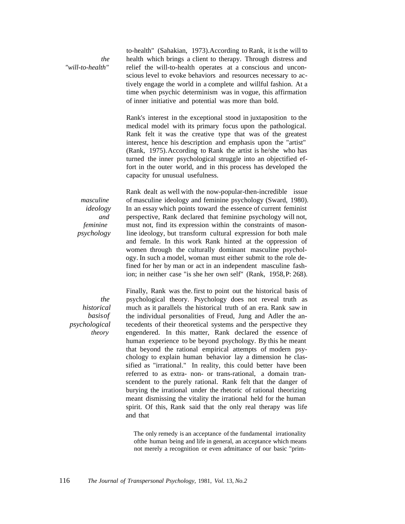*the "will-to-health"*

to-health" (Sahakian, 1973).According to Rank, it is the will to health which brings a client to therapy. Through distress and relief the will-to-health operates at a conscious and unconscious level to evoke behaviors and resources necessary to actively engage the world in a complete and willful fashion. At a time when psychic determinism was in vogue, this affirmation of inner initiative and potential was more than bold.

Rank's interest in the exceptional stood in juxtaposition to the medical model with its primary focus upon the pathological. Rank felt it was the creative type that was of the greatest interest, hence his description and emphasis upon the "artist" (Rank, 1975).According to Rank the artist is he/she who has turned the inner psychological struggle into an objectified effort in the outer world, and in this process has developed the capacity for unusual usefulness.

*masculine ideology and feminine psychology* Rank dealt as well with the now-popular-then-incredible issue of masculine ideology and feminine psychology (Sward, 1980). In an essay which points toward the essence of current feminist perspective, Rank declared that feminine psychology will not, must not, find its expression within the constraints of masonline ideology, but transform cultural expression for both male and female. In this work Rank hinted at the oppression of women through the culturally dominant masculine psychology. In such a model, woman must either submit to the role defined for her by man or act in an independent masculine fashion; in neither case "is she her own self" (Rank, 1958,P: 268).

*the historical basisof psychological theory*

Finally, Rank was the. first to point out the historical basis of psychological theory. Psychology does not reveal truth as much as it parallels the historical truth of an era. Rank saw in the individual personalities of Freud, Jung and Adler the antecedents of their theoretical systems and the perspective they engendered. In this matter, Rank declared the essence of human experience to be beyond psychology. By this he meant that beyond the rational empirical attempts of modern psychology to explain human behavior lay a dimension he classified as "irrational." In reality, this could better have been referred to as extra- non- or trans-rational, a domain transcendent to the purely rational. Rank felt that the danger of burying the irrational under the rhetoric of rational theorizing meant dismissing the vitality the irrational held for the human spirit. Of this, Rank said that the only real therapy was life and that

The only remedy is an acceptance of the fundamental irrationality ofthe human being and life in general, an acceptance which means not merely a recognition or even admittance of our basic "prim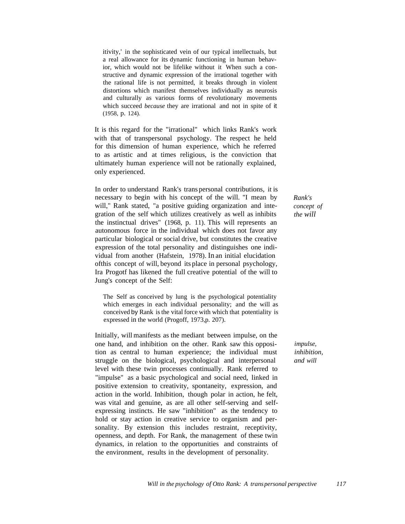itivity,' in the sophisticated vein of our typical intellectuals, but a real allowance for its dynamic functioning in human behavior, which would not be lifelike without it When such a constructive and dynamic expression of the irrational together with the rational life is not permitted, it breaks through in violent distortions which manifest themselves individually as neurosis and culturally as various forms of revolutionary movements which succeed *because* they are irrational and not in spite of it (1958, p. 124).

It is this regard for the "irrational" which links Rank's work with that of transpersonal psychology. The respect he held for this dimension of human experience, which he referred to as artistic and at times religious, is the conviction that ultimately human experience will not be rationally explained, only experienced.

In order to understand Rank's trans personal contributions, it is necessary to begin with his concept of the will. "I mean by will," Rank stated, "a positive guiding organization and integration of the self which utilizes creatively as well as inhibits the instinctual drives" (1968, p. 11). This will represents an autonomous force in the individual which does not favor any particular biological or social drive, but constitutes the creative expression of the total personality and distinguishes one individual from another (Hafstein, 1978). In an initial elucidation ofthis concept of will, beyond its place in personal psychology, Ira Progotf has likened the full creative potential of the will to Jung's concept of the Self:

The Self as conceived by lung is the psychological potentiality which emerges in each individual personality; and the will as conceived by Rank is the vital force with which that potentiality is expressed in the world (Progoff, 1973,p. 207).

Initially, will manifests as the mediant between impulse, on the one hand, and inhibition on the other. Rank saw this opposition as central to human experience; the individual must struggle on the biological, psychological and interpersonal level with these twin processes continually. Rank referred to "impulse" as a basic psychological and social need, linked in positive extension to creativity, spontaneity, expression, and action in the world. Inhibition, though polar in action, he felt, was vital and genuine, as are all other self-serving and selfexpressing instincts. He saw "inhibition" as the tendency to hold or stay action in creative service to organism and personality. By extension this includes restraint, receptivity, openness, and depth. For Rank, the management of these twin dynamics, in relation to the opportunities and constraints of the environment, results in the development of personality.

*Rank's concept of the will*

*impulse, inhibition, and will*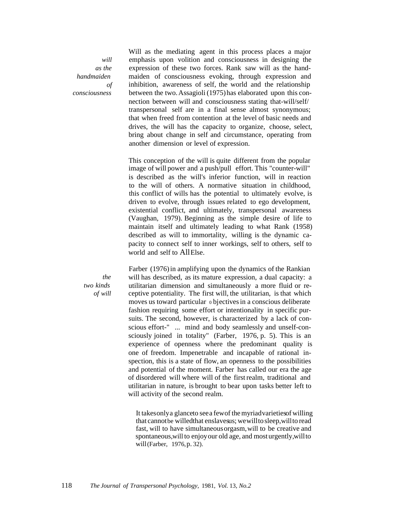*will as the handmaiden of consciousness*

Will as the mediating agent in this process places a major emphasis upon volition and consciousness in designing the expression of these two forces. Rank saw will as the handmaiden of consciousness evoking, through expression and inhibition, awareness of self, the world and the relationship between the two. Assagioli (1975)has elaborated upon this connection between will and consciousness stating that-will/self/ transpersonal self are in a final sense almost synonymous; that when freed from contention at the level of basic needs and drives, the will has the capacity to organize, choose, select, bring about change in self and circumstance, operating from another dimension or level of expression.

This conception of the will is quite different from the popular image of will power and a push/pull effort. This "counter-will" is described as the will's inferior function, will in reaction to the will of others. A normative situation in childhood, this conflict of wills has the potential to ultimately evolve, is driven to evolve, through issues related to ego development, existential conflict, and ultimately, transpersonal awareness (Vaughan, 1979). Beginning as the simple desire of life to maintain itself and ultimately leading to what Rank (1958) described as will to immortality, willing is the dynamic capacity to connect self to inner workings, self to others, self to world and self to AllElse.

Farber (1976) in amplifying upon the dynamics of the Rankian will has described, as its mature expression, a dual capacity: a utilitarian dimension and simultaneously a more fluid or receptive potentiality. The first will, the utilitarian, is that which moves us toward particular <sup>0</sup> bjectives in a conscious deliberate fashion requiring some effort or intentionality in specific pursuits. The second, however, is characterized by a lack of conscious effort-" ... mind and body seamlessly and unself-consciously joined in totality" (Farber, 1976, p. 5). This is an experience of openness where the predominant quality is one of freedom. Impenetrable and incapable of rational inspection, this is a state of flow, an openness to the possibilities and potential of the moment. Farber has called our era the age of disordered will where will of the first realm, traditional and utilitarian in nature, is brought to bear upon tasks better left to will activity of the second realm.

It takesonlya glanceto seea fewof the myriadvarietiesof willing that cannotbe willedthat enslavesus; wewillto sleep,willto read fast, will to have simultaneousorgasm,will to be creative and spontaneous,will to enjoyour old age, and mosturgently,willto will(Farber, 1976,p. 32).

*the two kinds of will*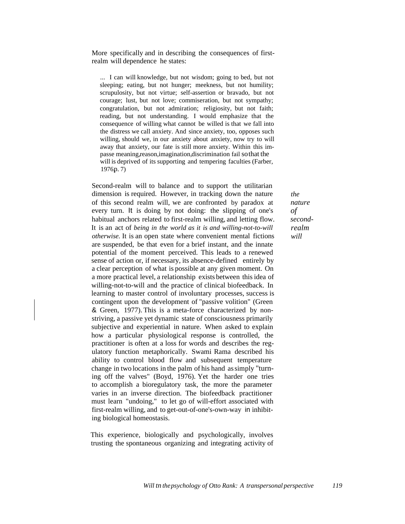More specifically and in describing the consequences of firstrealm will dependence he states:

... I can will knowledge, but not wisdom; going to bed, but not sleeping; eating, but not hunger; meekness, but not humility; scrupulosity, but not virtue; self-assertion or bravado, but not courage; lust, but not love; commiseration, but not sympathy; congratulation, but not admiration; religiosity, but not faith; reading, but not understanding. I would emphasize that the consequence of willing what cannot be willed is that we fall into the distress we call anxiety. And since anxiety, too, opposes such willing, should we, in our anxiety about anxiety, now try to will away that anxiety, our fate is still more anxiety. Within this impasse meaning,reason,imagination,discrimination fail sothat the will is deprived of its supporting and tempering faculties (Farber,  $1976p.7$ 

Second-realm will to balance and to support the utilitarian dimension is required. However, in tracking down the nature of this second realm will, we are confronted by paradox at every turn. It is doing by not doing: the slipping of one's habitual anchors related to first-realm willing, and letting flow. It is an act of *being in the world as it is and willing-not-to-will otherwise.* It is an open state where convenient mental fictions are suspended, be that even for a brief instant, and the innate potential of the moment perceived. This leads to a renewed sense of action or, if necessary, its absence-defined entirely by a clear perception of what is possible at any given moment. On a more practical level, a relationship exists between this idea of willing-not-to-will and the practice of clinical biofeedback. In learning to master control of involuntary processes, success is contingent upon the development of "passive volition" (Green & Green, 1977). This is a meta-force characterized by nonstriving, a passive yet dynamic state of consciousness primarily subjective and experiential in nature. When asked to explain how a particular physiological response is controlled, the practitioner is often at a loss for words and describes the regulatory function metaphorically. Swami Rama described his ability to control blood flow and subsequent temperature change in two locations in the palm of his hand assimply "turning off the valves" (Boyd, 1976). Yet the harder one tries to accomplish a bioregulatory task, the more the parameter varies in an inverse direction. The biofeedback practitioner must learn "undoing," to let go of will-effort associated with first-realm willing, and to get-out-of-one's-own-way in inhibiting biological homeostasis.

This experience, biologically and psychologically, involves trusting the spontaneous organizing and integrating activity of *the nature of secondrealm will*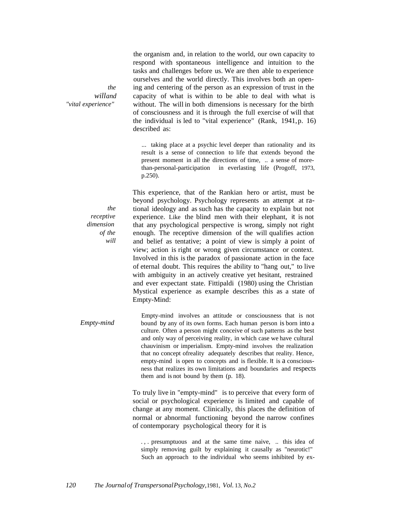the organism and, in relation to the world, our own capacity to respond with spontaneous intelligence and intuition to the tasks and challenges before us. We are then able to experience ourselves and the world directly. This involves both an opening and centering of the person as an expression of trust in the capacity of what is within to be able to deal with what is without. The will in both dimensions is necessary for the birth of consciousness and it is through the full exercise of will that the individual is led to "vital experience" (Rank, 1941,p. 16) described as:

... taking place at a psychic level deeper than rationality and its result is a sense of connection to life that extends beyond the present moment in all the directions of time, .. a sense of morethan-personal-participation in everlasting life (Progoff, 1973, p.250).

This experience, that of the Rankian hero or artist, must be beyond psychology. Psychology represents an attempt at rational ideology and as such has the capacity to explain but not experience. Like the blind men with their elephant, it is not that any psychological perspective is wrong, simply not right enough. The receptive dimension of the will qualifies action and belief as tentative; a point of view is simply a point of view; action is right or wrong given circumstance or context. Involved in this is the paradox of passionate action in the face of eternal doubt. This requires the ability to "hang out," to live with ambiguity in an actively creative yet hesitant, restrained and ever expectant state. Fittipaldi (1980) using the Christian Mystical experience as example describes this as a state of Empty-Mind:

*Empty-mind* Empty-mind involves an attitude or consciousness that is not bound by any of its own forms. Each human person is born into a culture. Often a person might conceive of such patterns as the best and only way of perceiving reality, in which case we have cultural chauvinism or imperialism. Empty-mind involves the realization that no concept ofreality adequately describes that reality. Hence, empty-mind is open to concepts and is flexible. It is a consciousness that realizes its own limitations and boundaries and respects them and is not bound by them (p. 18).

> To truly live in "empty-mind" is to perceive that every form of social or psychological experience is limited and capable of change at any moment. Clinically, this places the definition of normal or abnormal functioning beyond the narrow confines of contemporary psychological theory for it is

. , . presumptuous and at the same time naive, .. this idea of simply removing guilt by explaining it causally as "neurotic!" Such an approach to the individual who seems inhibited by ex-

*the willand "vital experience"*

> *the receptive dimension of the will*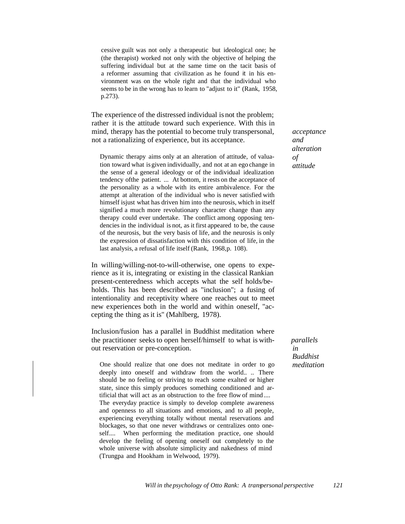cessive guilt was not only a therapeutic but ideological one; he (the therapist) worked not only with the objective of helping the suffering individual but at the same time on the tacit basis of a reformer assuming that civilization as he found it in his environment was on the whole right and that the individual who seems to be in the wrong has to learn to "adjust to it" (Rank, 1958, p.273).

The experience of the distressed individual is not the problem; rather it is the attitude toward such experience. With this in mind, therapy has the potential to become truly transpersonal, not a rationalizing of experience, but its acceptance.

Dynamic therapy aims only at an alteration of attitude, of valuation toward what is given individually, and not at an ego change in the sense of a general ideology or of the individual idealization tendency ofthe patient. ... At bottom, it rests on the acceptance of the personality as a whole with its entire ambivalence. For the attempt at alteration of the individual who is never satisfied with himself isjust what has driven him into the neurosis, which in itself signified a much more revolutionary character change than any therapy could ever undertake. The conflict among opposing tendencies in the individual is not, as it first appeared to be, the cause of the neurosis, but the very basis of life, and the neurosis is only the expression of dissatisfaction with this condition of life, in the last analysis, a refusal of life itself (Rank, 1968,p. 108).

In willing/willing-not-to-will-otherwise, one opens to experience as it is, integrating or existing in the classical Rankian present-centeredness which accepts what the self holds/beholds. This has been described as "inclusion"; a fusing of intentionality and receptivity where one reaches out to meet new experiences both in the world and within oneself, "accepting the thing as it is" (Mahlberg, 1978).

Inclusion/fusion has a parallel in Buddhist meditation where the practitioner seeks to open herself/himself to what is without reservation or pre-conception.

One should realize that one does not meditate in order to go deeply into oneself and withdraw from the world.. .. There should be no feeling or striving to reach some exalted or higher state, since this simply produces something conditioned and artificial that will act as an obstruction to the free flow of mind .... The everyday practice is simply to develop complete awareness and openness to all situations and emotions, and to all people, experiencing everything totally without mental reservations and blockages, so that one never withdraws or centralizes onto oneself.... When performing the meditation practice, one should develop the feeling of opening oneself out completely to the whole universe with absolute simplicity and nakedness of mind (Trungpa and Hookham in Welwood, 1979).

*acceptance and alteration of attitude*

*parallels in Buddhist meditation*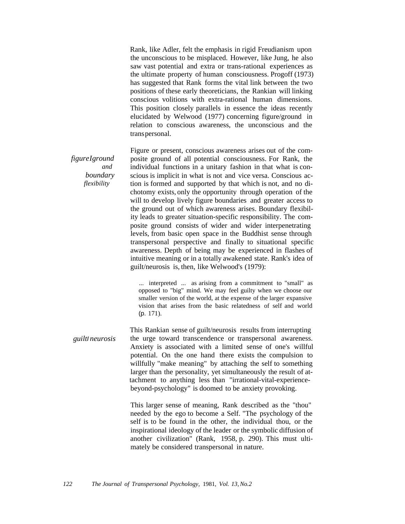Rank, like Adler, felt the emphasis in rigid Freudianism upon the unconscious to be misplaced. However, like Jung, he also saw vast potential and extra or trans-rational experiences as the ultimate property of human consciousness. Progoff (1973) has suggested that Rank forms the vital link between the two positions of these early theoreticians, the Rankian will linking conscious volitions with extra-rational human dimensions. This position closely parallels in essence the ideas recently elucidated by Welwood (1977) concerning figure/ground in relation to conscious awareness, the unconscious and the transpersonal.

*figureIground and boundary flexibility* Figure or present, conscious awareness arises out of the composite ground of all potential consciousness. For Rank, the individual functions in a unitary fashion in that what is conscious is implicit in what is not and vice versa. Conscious action is formed and supported by that which is not, and no dichotomy exists, only the opportunity through operation of the will to develop lively figure boundaries and greater access to the ground out of which awareness arises. Boundary flexibility leads to greater situation-specific responsibility. The composite ground consists of wider and wider interpenetrating levels, from basic open space in the Buddhist sense through transpersonal perspective and finally to situational specific awareness. Depth of being may be experienced in flashes of intuitive meaning or in a totally awakened state. Rank's idea of guilt/neurosis is, then, like Welwood's (1979):

> ... interpreted ... as arising from a commitment to "small" as opposed to "big" mind. We may feel guilty when we choose our smaller version of the world, at the expense of the larger expansive vision that arises from the basic relatedness of self and world (p. 171).

*guilt*I *neurosis* This Rankian sense of guilt/neurosis results from interrupting the urge toward transcendence or transpersonal awareness. Anxiety is associated with a limited sense of one's willful potential. On the one hand there exists the compulsion to willfully "make meaning" by attaching the self to something larger than the personality, yet simultaneously the result of attachment to anything less than "irrational-vital-experiencebeyond-psychology" is doomed to be anxiety provoking.

> This larger sense of meaning, Rank described as the "thou" needed by the ego to become a Self. "The psychology of the self is to be found in the other, the individual thou, or the inspirational ideology of the leader or the symbolic diffusion of another civilization" (Rank, 1958, p. 290). This must ultimately be considered transpersonal in nature.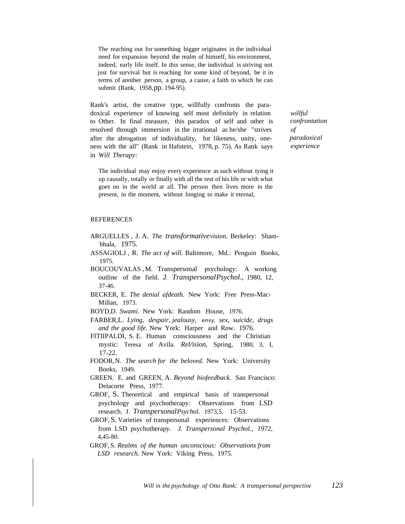The reaching out for something bigger originates in the individual need for expansion beyond the realm of himself, his environment, indeed, early life itself. In this sense, the individual is striving not just for survival but is reaching for some kind of beyond, be it in terms of another person, a group, a cause, a faith to which he can submit (Rank, 1958,pp. 194-95).

Rank's artist, the creative type, willfully confronts the paradoxical experience of knowing self most definitely in relation to Other. In final measure, this paradox of self and other is resolved through immersion in the irrational as he/she "strives after the abrogation of individuality, for likeness, unity, oneness with the all" (Rank in Hafstein, 1978, p. 75). As Rank says in *Will Therapy:*

The individual may enjoy every experience as such without tying it up causally, totally or finally with all the rest of his life or with what goes on in the world at all. The person then lives more in the present, in the moment, without longing to make it eternal,

## REFERENCES

- ARGUELLES , J. A. *The transformativevision.* Berkeley: Shambhala, 1975.
- ASSAGIOLJ , R. *The act of will.* Baltimore, Md.: Penguin Books, 1975.
- BOUCOUVALAS ,M. Transpersonal psychology: A working outline of the field. J. *TranspersonalPsychol.,* 1980, 12, 37-46.
- BECKER, E. *The denial afdeath.* New York: Free Press-Mac-Millan, 1973.
- BOYD,D. *Swami.* New York: Random House, 1976.
- FARBER,L. *Lying, despair, jealousy, envy, sex, suicide, drugs and the good life.* New York: Harper and Row. 1976.
- FITIIPALDI, S. E. Human consciousness and the Christian mystic: Teresa of Avila. *Rel/ision,* Spring, 1980, 3, I, 17-22.
- FODOR,N. *The search for the beloved.* New York: University Books, 1949.
- GREEN, E. and GREEN, A. *Beyond biofeedback.* San Francisco: Delacorte Press, 1977.
- GROF, S. Theoretical and empirical basis of transpersonal psychology and psychotherapy: Observations from LSD research. J. *TranspersonalPsychol.* 1973,5, 15-53.
- GROF,S. Varieties of transpersonal experiences: Observations from LSD psychotherapy. *J. Transpersonal Psychol., 1972,* 4,45-80.
- GROF, S. *Realms of the human unconscious: Observations from LSD research.* New York: Viking Press, 1975.

*willful confrontation of paradoxical experience*